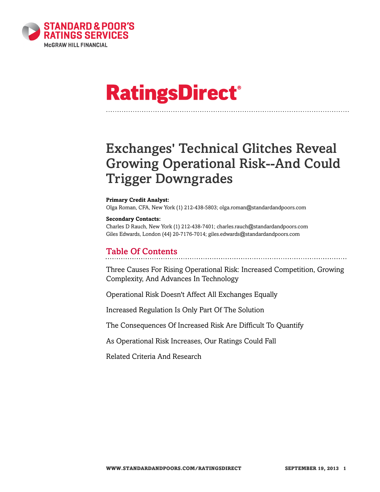

# **RatingsDirect®**

## Exchanges' Technical Glitches Reveal Growing Operational Risk--And Could Trigger Downgrades

#### **Primary Credit Analyst:**

Olga Roman, CFA, New York (1) 212-438-5803; olga.roman@standardandpoors.com

#### **Secondary Contacts:**

Charles D Rauch, New York (1) 212-438-7401; charles.rauch@standardandpoors.com Giles Edwards, London (44) 20-7176-7014; giles.edwards@standardandpoors.com

## Table Of Contents

[Three Causes For Rising Operational Risk: Increased Competition, Growing](#page-2-0) [Complexity, And Advances In Technology](#page-2-0)

[Operational Risk Doesn't Affect All Exchanges Equally](#page-3-0)

[Increased Regulation Is Only Part Of The Solution](#page-4-0)

[The Consequences Of Increased Risk Are Difficult To Quantify](#page-5-0)

[As Operational Risk Increases, Our Ratings Could Fall](#page-5-1)

[Related Criteria And Research](#page-7-0)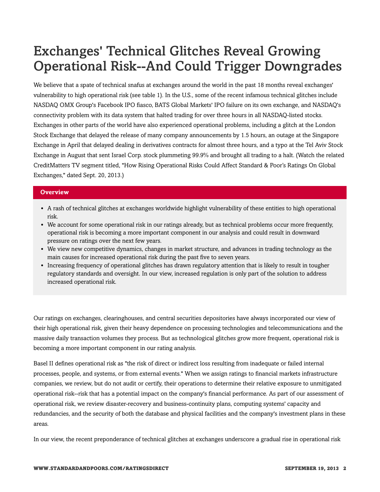## Exchanges' Technical Glitches Reveal Growing Operational Risk--And Could Trigger Downgrades

We believe that a spate of technical snafus at exchanges around the world in the past 18 months reveal exchanges' vulnerability to high operational risk (see table 1). In the U.S., some of the recent infamous technical glitches include NASDAQ OMX Group's Facebook IPO fiasco, BATS Global Markets' IPO failure on its own exchange, and NASDAQ's connectivity problem with its data system that halted trading for over three hours in all NASDAQ-listed stocks. Exchanges in other parts of the world have also experienced operational problems, including a glitch at the London Stock Exchange that delayed the release of many company announcements by 1.5 hours, an outage at the Singapore Exchange in April that delayed dealing in derivatives contracts for almost three hours, and a typo at the Tel Aviv Stock Exchange in August that sent Israel Corp. stock plummeting 99.9% and brought all trading to a halt. (Watch the related CreditMatters TV segment titled, "How Rising Operational Risks Could Affect Standard & Poor's Ratings On Global Exchanges," dated Sept. 20, 2013.)

#### **Overview**

- A rash of technical glitches at exchanges worldwide highlight vulnerability of these entities to high operational risk.
- We account for some operational risk in our ratings already, but as technical problems occur more frequently, operational risk is becoming a more important component in our analysis and could result in downward pressure on ratings over the next few years.
- We view new competitive dynamics, changes in market structure, and advances in trading technology as the main causes for increased operational risk during the past five to seven years.
- Increasing frequency of operational glitches has drawn regulatory attention that is likely to result in tougher regulatory standards and oversight. In our view, increased regulation is only part of the solution to address increased operational risk.

Our ratings on exchanges, clearinghouses, and central securities depositories have always incorporated our view of their high operational risk, given their heavy dependence on processing technologies and telecommunications and the massive daily transaction volumes they process. But as technological glitches grow more frequent, operational risk is becoming a more important component in our rating analysis.

Basel II defines operational risk as "the risk of direct or indirect loss resulting from inadequate or failed internal processes, people, and systems, or from external events." When we assign ratings to financial markets infrastructure companies, we review, but do not audit or certify, their operations to determine their relative exposure to unmitigated operational risk--risk that has a potential impact on the company's financial performance. As part of our assessment of operational risk, we review disaster-recovery and business-continuity plans, computing systems' capacity and redundancies, and the security of both the database and physical facilities and the company's investment plans in these areas.

In our view, the recent preponderance of technical glitches at exchanges underscore a gradual rise in operational risk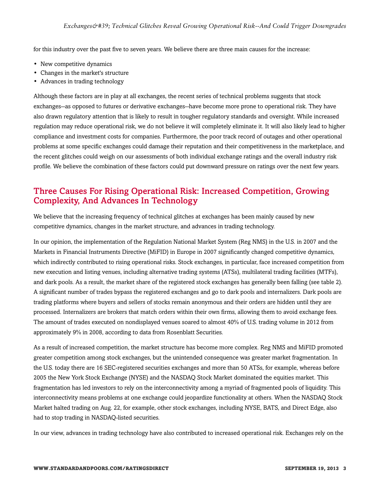for this industry over the past five to seven years. We believe there are three main causes for the increase:

- New competitive dynamics
- Changes in the market's structure
- Advances in trading technology

Although these factors are in play at all exchanges, the recent series of technical problems suggests that stock exchanges--as opposed to futures or derivative exchanges--have become more prone to operational risk. They have also drawn regulatory attention that is likely to result in tougher regulatory standards and oversight. While increased regulation may reduce operational risk, we do not believe it will completely eliminate it. It will also likely lead to higher compliance and investment costs for companies. Furthermore, the poor track record of outages and other operational problems at some specific exchanges could damage their reputation and their competitiveness in the marketplace, and the recent glitches could weigh on our assessments of both individual exchange ratings and the overall industry risk profile. We believe the combination of these factors could put downward pressure on ratings over the next few years.

## <span id="page-2-0"></span>Three Causes For Rising Operational Risk: Increased Competition, Growing Complexity, And Advances In Technology

We believe that the increasing frequency of technical glitches at exchanges has been mainly caused by new competitive dynamics, changes in the market structure, and advances in trading technology.

In our opinion, the implementation of the Regulation National Market System (Reg NMS) in the U.S. in 2007 and the Markets in Financial Instruments Directive (MiFID) in Europe in 2007 significantly changed competitive dynamics, which indirectly contributed to rising operational risks. Stock exchanges, in particular, face increased competition from new execution and listing venues, including alternative trading systems (ATSs), multilateral trading facilities (MTFs), and dark pools. As a result, the market share of the registered stock exchanges has generally been falling (see table 2). A significant number of trades bypass the registered exchanges and go to dark pools and internalizers. Dark pools are trading platforms where buyers and sellers of stocks remain anonymous and their orders are hidden until they are processed. Internalizers are brokers that match orders within their own firms, allowing them to avoid exchange fees. The amount of trades executed on nondisplayed venues soared to almost 40% of U.S. trading volume in 2012 from approximately 9% in 2008, according to data from Rosenblatt Securities.

As a result of increased competition, the market structure has become more complex. Reg NMS and MiFID promoted greater competition among stock exchanges, but the unintended consequence was greater market fragmentation. In the U.S. today there are 16 SEC-registered securities exchanges and more than 50 ATSs, for example, whereas before 2005 the New York Stock Exchange (NYSE) and the NASDAQ Stock Market dominated the equities market. This fragmentation has led investors to rely on the interconnectivity among a myriad of fragmented pools of liquidity. This interconnectivity means problems at one exchange could jeopardize functionality at others. When the NASDAQ Stock Market halted trading on Aug. 22, for example, other stock exchanges, including NYSE, BATS, and Direct Edge, also had to stop trading in NASDAQ-listed securities.

In our view, advances in trading technology have also contributed to increased operational risk. Exchanges rely on the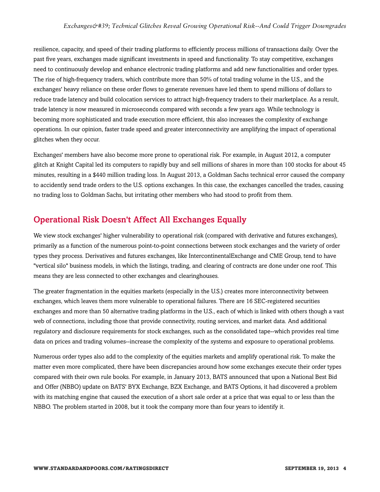#### *Exchanges' Technical Glitches Reveal Growing Operational Risk--And Could Trigger Downgrades*

resilience, capacity, and speed of their trading platforms to efficiently process millions of transactions daily. Over the past five years, exchanges made significant investments in speed and functionality. To stay competitive, exchanges need to continuously develop and enhance electronic trading platforms and add new functionalities and order types. The rise of high-frequency traders, which contribute more than 50% of total trading volume in the U.S., and the exchanges' heavy reliance on these order flows to generate revenues have led them to spend millions of dollars to reduce trade latency and build colocation services to attract high-frequency traders to their marketplace. As a result, trade latency is now measured in microseconds compared with seconds a few years ago. While technology is becoming more sophisticated and trade execution more efficient, this also increases the complexity of exchange operations. In our opinion, faster trade speed and greater interconnectivity are amplifying the impact of operational glitches when they occur.

Exchanges' members have also become more prone to operational risk. For example, in August 2012, a computer glitch at Knight Capital led its computers to rapidly buy and sell millions of shares in more than 100 stocks for about 45 minutes, resulting in a \$440 million trading loss. In August 2013, a Goldman Sachs technical error caused the company to accidently send trade orders to the U.S. options exchanges. In this case, the exchanges cancelled the trades, causing no trading loss to Goldman Sachs, but irritating other members who had stood to profit from them.

## <span id="page-3-0"></span>Operational Risk Doesn't Affect All Exchanges Equally

We view stock exchanges' higher vulnerability to operational risk (compared with derivative and futures exchanges), primarily as a function of the numerous point-to-point connections between stock exchanges and the variety of order types they process. Derivatives and futures exchanges, like IntercontinentalExchange and CME Group, tend to have "vertical silo" business models, in which the listings, trading, and clearing of contracts are done under one roof. This means they are less connected to other exchanges and clearinghouses.

The greater fragmentation in the equities markets (especially in the U.S.) creates more interconnectivity between exchanges, which leaves them more vulnerable to operational failures. There are 16 SEC-registered securities exchanges and more than 50 alternative trading platforms in the U.S., each of which is linked with others though a vast web of connections, including those that provide connectivity, routing services, and market data. And additional regulatory and disclosure requirements for stock exchanges, such as the consolidated tape--which provides real time data on prices and trading volumes--increase the complexity of the systems and exposure to operational problems.

Numerous order types also add to the complexity of the equities markets and amplify operational risk. To make the matter even more complicated, there have been discrepancies around how some exchanges execute their order types compared with their own rule books. For example, in January 2013, BATS announced that upon a National Best Bid and Offer (NBBO) update on BATS' BYX Exchange, BZX Exchange, and BATS Options, it had discovered a problem with its matching engine that caused the execution of a short sale order at a price that was equal to or less than the NBBO. The problem started in 2008, but it took the company more than four years to identify it.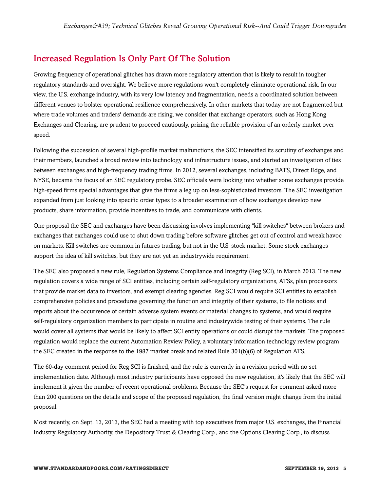## <span id="page-4-0"></span>Increased Regulation Is Only Part Of The Solution

Growing frequency of operational glitches has drawn more regulatory attention that is likely to result in tougher regulatory standards and oversight. We believe more regulations won't completely eliminate operational risk. In our view, the U.S. exchange industry, with its very low latency and fragmentation, needs a coordinated solution between different venues to bolster operational resilience comprehensively. In other markets that today are not fragmented but where trade volumes and traders' demands are rising, we consider that exchange operators, such as Hong Kong Exchanges and Clearing, are prudent to proceed cautiously, prizing the reliable provision of an orderly market over speed.

Following the succession of several high-profile market malfunctions, the SEC intensified its scrutiny of exchanges and their members, launched a broad review into technology and infrastructure issues, and started an investigation of ties between exchanges and high-frequency trading firms. In 2012, several exchanges, including BATS, Direct Edge, and NYSE, became the focus of an SEC regulatory probe. SEC officials were looking into whether some exchanges provide high-speed firms special advantages that give the firms a leg up on less-sophisticated investors. The SEC investigation expanded from just looking into specific order types to a broader examination of how exchanges develop new products, share information, provide incentives to trade, and communicate with clients.

One proposal the SEC and exchanges have been discussing involves implementing "kill switches" between brokers and exchanges that exchanges could use to shut down trading before software glitches get out of control and wreak havoc on markets. Kill switches are common in futures trading, but not in the U.S. stock market. Some stock exchanges support the idea of kill switches, but they are not yet an industrywide requirement.

The SEC also proposed a new rule, Regulation Systems Compliance and Integrity (Reg SCI), in March 2013. The new regulation covers a wide range of SCI entities, including certain self-regulatory organizations, ATSs, plan processors that provide market data to investors, and exempt clearing agencies. Reg SCI would require SCI entities to establish comprehensive policies and procedures governing the function and integrity of their systems, to file notices and reports about the occurrence of certain adverse system events or material changes to systems, and would require self-regulatory organization members to participate in routine and industrywide testing of their systems. The rule would cover all systems that would be likely to affect SCI entity operations or could disrupt the markets. The proposed regulation would replace the current Automation Review Policy, a voluntary information technology review program the SEC created in the response to the 1987 market break and related Rule 301(b)(6) of Regulation ATS.

The 60-day comment period for Reg SCI is finished, and the rule is currently in a revision period with no set implementation date. Although most industry participants have opposed the new regulation, it's likely that the SEC will implement it given the number of recent operational problems. Because the SEC's request for comment asked more than 200 questions on the details and scope of the proposed regulation, the final version might change from the initial proposal.

Most recently, on Sept. 13, 2013, the SEC had a meeting with top executives from major U.S. exchanges, the Financial Industry Regulatory Authority, the Depository Trust & Clearing Corp., and the Options Clearing Corp., to discuss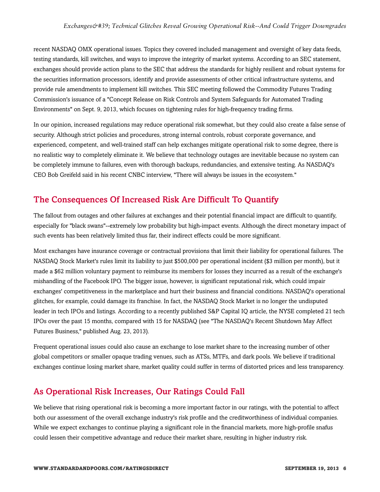recent NASDAQ OMX operational issues. Topics they covered included management and oversight of key data feeds, testing standards, kill switches, and ways to improve the integrity of market systems. According to an SEC statement, exchanges should provide action plans to the SEC that address the standards for highly resilient and robust systems for the securities information processors, identify and provide assessments of other critical infrastructure systems, and provide rule amendments to implement kill switches. This SEC meeting followed the Commodity Futures Trading Commission's issuance of a "Concept Release on Risk Controls and System Safeguards for Automated Trading Environments" on Sept. 9, 2013, which focuses on tightening rules for high-frequency trading firms.

In our opinion, increased regulations may reduce operational risk somewhat, but they could also create a false sense of security. Although strict policies and procedures, strong internal controls, robust corporate governance, and experienced, competent, and well-trained staff can help exchanges mitigate operational risk to some degree, there is no realistic way to completely eliminate it. We believe that technology outages are inevitable because no system can be completely immune to failures, even with thorough backups, redundancies, and extensive testing. As NASDAQ's CEO Bob Greifeld said in his recent CNBC interview, "There will always be issues in the ecosystem."

## <span id="page-5-0"></span>The Consequences Of Increased Risk Are Difficult To Quantify

The fallout from outages and other failures at exchanges and their potential financial impact are difficult to quantify, especially for "black swans"--extremely low probability but high-impact events. Although the direct monetary impact of such events has been relatively limited thus far, their indirect effects could be more significant.

Most exchanges have insurance coverage or contractual provisions that limit their liability for operational failures. The NASDAQ Stock Market's rules limit its liability to just \$500,000 per operational incident (\$3 million per month), but it made a \$62 million voluntary payment to reimburse its members for losses they incurred as a result of the exchange's mishandling of the Facebook IPO. The bigger issue, however, is significant reputational risk, which could impair exchanges' competitiveness in the marketplace and hurt their business and financial conditions. NASDAQ's operational glitches, for example, could damage its franchise. In fact, the NASDAQ Stock Market is no longer the undisputed leader in tech IPOs and listings. According to a recently published S&P Capital IQ article, the NYSE completed 21 tech IPOs over the past 15 months, compared with 15 for NASDAQ (see "The NASDAQ's Recent Shutdown May Affect Futures Business," published Aug. 23, 2013).

Frequent operational issues could also cause an exchange to lose market share to the increasing number of other global competitors or smaller opaque trading venues, such as ATSs, MTFs, and dark pools. We believe if traditional exchanges continue losing market share, market quality could suffer in terms of distorted prices and less transparency.

## <span id="page-5-1"></span>As Operational Risk Increases, Our Ratings Could Fall

We believe that rising operational risk is becoming a more important factor in our ratings, with the potential to affect both our assessment of the overall exchange industry's risk profile and the creditworthiness of individual companies. While we expect exchanges to continue playing a significant role in the financial markets, more high-profile snafus could lessen their competitive advantage and reduce their market share, resulting in higher industry risk.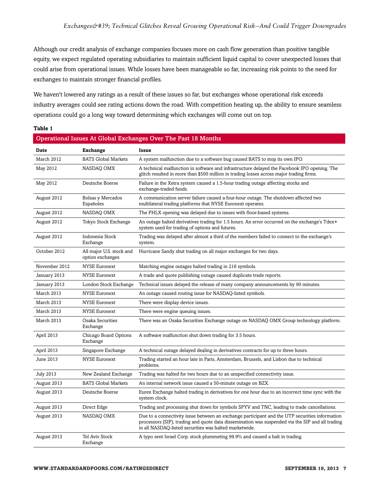Although our credit analysis of exchange companies focuses more on cash flow generation than positive tangible equity, we expect regulated operating subsidiaries to maintain sufficient liquid capital to cover unexpected losses that could arise from operational issues. While losses have been manageable so far, increasing risk points to the need for exchanges to maintain stronger financial profiles.

We haven't lowered any ratings as a result of these issues so far, but exchanges whose operational risk exceeds industry averages could see rating actions down the road. With competition heating up, the ability to ensure seamless operations could go a long way toward determining which exchanges will come out on top.

#### **Table 1**

| Operational Issues At Global Exchanges Over The Past 18 Months |                                              |                                                                                                                                                                                                                                                              |  |  |  |
|----------------------------------------------------------------|----------------------------------------------|--------------------------------------------------------------------------------------------------------------------------------------------------------------------------------------------------------------------------------------------------------------|--|--|--|
| Date                                                           | Exchange                                     | Issue                                                                                                                                                                                                                                                        |  |  |  |
| March 2012                                                     | <b>BATS Global Markets</b>                   | A system malfunction due to a software bug caused BATS to stop its own IPO.                                                                                                                                                                                  |  |  |  |
| May 2012                                                       | NASDAQ OMX                                   | A technical malfunction in software and infrastructure delayed the Facebook IPO opening. The<br>glitch resulted in more than \$500 million in trading losses across major trading firms.                                                                     |  |  |  |
| May 2012                                                       | Deutsche Boerse                              | Failure in the Xetra system caused a 1.5-hour trading outage affecting stocks and<br>exchange-traded funds.                                                                                                                                                  |  |  |  |
| August 2012                                                    | <b>Bolsas y Mercados</b><br>Españoles        | A communication server failure caused a four-hour outage. The shutdown affected two<br>multilateral trading platforms that NYSE Euronext operates.                                                                                                           |  |  |  |
| August 2012                                                    | NASDAQ OMX                                   | The PHLX opening was delayed due to issues with floor-based systems.                                                                                                                                                                                         |  |  |  |
| August 2012                                                    | Tokyo Stock Exchange                         | An outage halted derivatives trading for 1.5 hours. An error occurred on the exchange's Tdex+<br>system used for trading of options and futures.                                                                                                             |  |  |  |
| August 2012                                                    | Indonesia Stock<br>Exchange                  | Trading was delayed after almost a third of the members failed to connect to the exchange's<br>system.                                                                                                                                                       |  |  |  |
| October 2012                                                   | All major U.S. stock and<br>option exchanges | Hurricane Sandy shut trading on all major exchanges for two days.                                                                                                                                                                                            |  |  |  |
| November 2012                                                  | <b>NYSE Euronext</b>                         | Matching engine outages halted trading in 216 symbols.                                                                                                                                                                                                       |  |  |  |
| January 2013                                                   | <b>NYSE Euronext</b>                         | A trade and quote publishing outage caused duplicate trade reports.                                                                                                                                                                                          |  |  |  |
| January 2013                                                   | London Stock Exchange                        | Technical issues delayed the release of many company announcements by 90 minutes.                                                                                                                                                                            |  |  |  |
| March 2013                                                     | <b>NYSE Euronext</b>                         | An outage caused routing issue for NASDAQ-listed symbols.                                                                                                                                                                                                    |  |  |  |
| March 2013                                                     | <b>NYSE Euronext</b>                         | There were display device issues.                                                                                                                                                                                                                            |  |  |  |
| March 2013                                                     | <b>NYSE Euronext</b>                         | There were engine queuing issues.                                                                                                                                                                                                                            |  |  |  |
| March 2013                                                     | Osaka Securities<br>Exchange                 | There was an Osaka Securities Exchange outage on NASDAQ OMX Group technology platform.                                                                                                                                                                       |  |  |  |
| April 2013                                                     | Chicago Board Options<br>Exchange            | A software malfunction shut down trading for 3.5 hours.                                                                                                                                                                                                      |  |  |  |
| April 2013                                                     | Singapore Exchange                           | A technical outage delayed dealing in derivatives contracts for up to three hours.                                                                                                                                                                           |  |  |  |
| June 2013                                                      | <b>NYSE Euronext</b>                         | Trading started an hour late in Paris, Amsterdam, Brussels, and Lisbon due to technical<br>problems.                                                                                                                                                         |  |  |  |
| <b>July 2013</b>                                               | New Zealand Exchange                         | Trading was halted for two hours due to an unspecified connectivity issue.                                                                                                                                                                                   |  |  |  |
| August 2013                                                    | <b>BATS Global Markets</b>                   | An internal network issue caused a 50-minute outage on BZX.                                                                                                                                                                                                  |  |  |  |
| August 2013                                                    | Deutsche Boerse                              | Eurex Exchange halted trading in derivatives for one hour due to an incorrect time sync with the<br>system clock.                                                                                                                                            |  |  |  |
| August 2013                                                    | Direct Edge                                  | Trading and processing shut down for symbols SPYV and TNC, leading to trade cancellations.                                                                                                                                                                   |  |  |  |
| August 2013                                                    | NASDAQ OMX                                   | Due to a connectivity issue between an exchange participant and the UTP securities information<br>processors (SIP), trading and quote data dissemination was suspended via the SIP and all trading<br>in all NASDAQ-listed securities was halted marketwide. |  |  |  |
| August 2013                                                    | Tel Aviv Stock<br>Exchange                   | A typo sent Israel Corp. stock plummeting 99.9% and caused a halt in trading.                                                                                                                                                                                |  |  |  |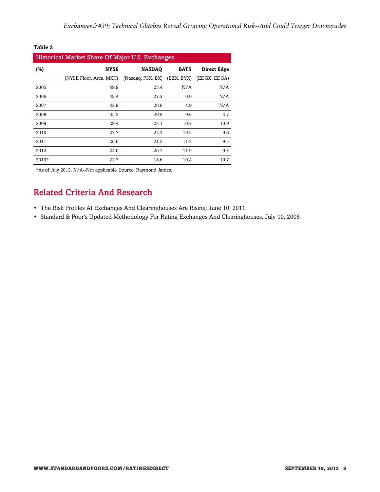#### **Table 2**

| <b>Historical Market Share Of Major U.S. Exchanges</b> |                         |                   |             |                    |  |  |
|--------------------------------------------------------|-------------------------|-------------------|-------------|--------------------|--|--|
| (%)                                                    | <b>NYSE</b>             | <b>NASDAO</b>     | <b>BATS</b> | <b>Direct Edge</b> |  |  |
|                                                        | (NYSE Floor, Arca, MKT) | (Nasdaq, PSX, BX) | (BZX, BYX)  | (EDGX, EDGA)       |  |  |
| 2005                                                   | 49.9                    | 25.4              | N/A         | N/A                |  |  |
| 2006                                                   | 48.4                    | 27.3              | 0.9         | N/A                |  |  |
| 2007                                                   | 42.9                    | 28.8              | 4.9         | N/A                |  |  |
| 2008                                                   | 35.2                    | 29.9              | 9.6         | 4.7                |  |  |
| 2009                                                   | 29.4                    | 23.1              | 10.2        | 10.9               |  |  |
| 2010                                                   | 27.7                    | 22.2              | 10.2        | 9.6                |  |  |
| 2011                                                   | 26.6                    | 21.2              | 11.2        | 9.5                |  |  |
| 2012                                                   | 24.0                    | 20.7              | 11.9        | 9.3                |  |  |
| $2013*$                                                | 22.7                    | 18.6              | 10.4        | 10.7               |  |  |

<span id="page-7-0"></span>\*As of July 2013. N/A--Not applicable. Source: Raymond James.

## Related Criteria And Research

- The Risk Profiles At Exchanges And Clearinghouses Are Rising, June 10, 2011
- Standard & Poor's Updated Methodology For Rating Exchanges And Clearinghouses, July 10, 2006